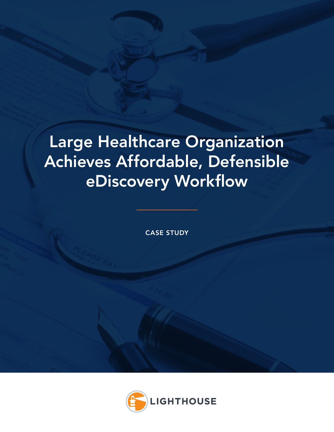# Large Healthcare Organization Achieves Affordable, Defensible eDiscovery Workflow

CASE STUDY

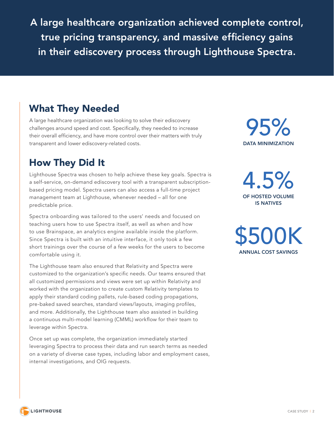A large healthcare organization achieved complete control, true pricing transparency, and massive efficiency gains in their ediscovery process through Lighthouse Spectra.

### What They Needed

A large healthcare organization was looking to solve their ediscovery challenges around speed and cost. Specifically, they needed to increase their overall efficiency, and have more control over their matters with truly transparent and lower ediscovery-related costs.

### How They Did It

Lighthouse Spectra was chosen to help achieve these key goals. Spectra is a self-service, on-demand ediscovery tool with a transparent subscriptionbased pricing model. Spectra users can also access a full-time project management team at Lighthouse, whenever needed – all for one predictable price.

Spectra onboarding was tailored to the users' needs and focused on teaching users how to use Spectra itself, as well as when and how to use Brainspace, an analytics engine available inside the platform. Since Spectra is built with an intuitive interface, it only took a few short trainings over the course of a few weeks for the users to become comfortable using it.

The Lighthouse team also ensured that Relativity and Spectra were customized to the organization's specific needs. Our teams ensured that all customized permissions and views were set up within Relativity and worked with the organization to create custom Relativity templates to apply their standard coding pallets, rule-based coding propagations, pre-baked saved searches, standard views/layouts, imaging profiles, and more. Additionally, the Lighthouse team also assisted in building a continuous multi-model learning (CMML) workflow for their team to leverage within Spectra.

Once set up was complete, the organization immediately started leveraging Spectra to process their data and run search terms as needed on a variety of diverse case types, including labor and employment cases, internal investigations, and OIG requests.

DATA MINIMIZATION 95%

4.5% OF HOSTED VOLUME IS NATIVES

\$500K ANNUAL COST SAVINGS